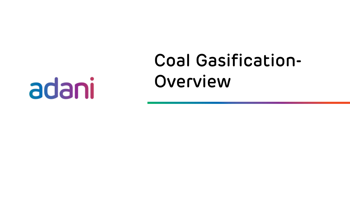# adani

# Coal Gasification-Overview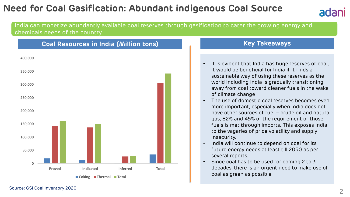## **Need for Coal Gasification: Abundant indigenous Coal Source**



#### India can monetize abundantly available coal reserves through gasification to cater the growing energy and chemicals needs of the country



## **Key Takeaways**

- It is evident that India has huge reserves of coal, it would be beneficial for India if it finds a sustainable way of using these reserves as the world including India is gradually transitioning away from coal toward cleaner fuels in the wake of climate change
- The use of domestic coal reserves becomes even more important, especially when India does not have other sources of fuel – crude oil and natural gas, 82% and 45% of the requirement of those fuels is met through imports. This exposes India to the vagaries of price volatility and supply insecurity.
- India will continue to depend on coal for its future energy needs at least till 2050 as per several reports.
- Since coal has to be used for coming 2 to 3 decades, there is an urgent need to make use of coal as green as possible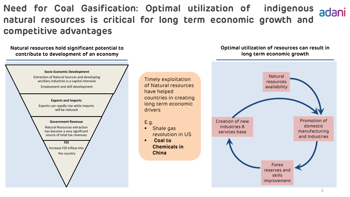**Need for Coal Gasification: Optimal utilization of indigenous natural resources is critical for long term economic growth and competitive advantages**

**Natural resources hold significant potential to contribute to development of an economy** 



Timely exploitation of Natural resources have helped countries in creating long term economic drivers

E.g.

■ Shale gas revolution in US

▪ **Coal to Chemicals in China**

#### **Optimal utilization of resources can result in long term economic growth**

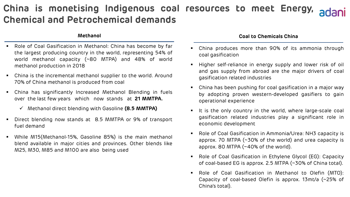## **China is monetising Indigenous coal resources to meet Energy, Chemical and Petrochemical demands**

#### **Methanol**

- Role of Coal Gasification in Methanol: China has become by far the largest producing country in the world, representing 54% of world methanol capacity (~80 MTPA) and 48% of world methanol production in 2018
- China is the incremental methanol supplier to the world. Around 70% of China methanol is produced from coal
- China has significantly Increased Methanol Blending in fuels over the last few years which now stands at **21 MMTPA.**
	- ✓ Methanol direct blending with Gasoline **(8.5 MMTPA)**
- Direct blending now stands at 8.5 MMTPA or 9% of transport fuel demand
- While M15(Methanol-15%, Gasoline 85%) is the main methanol blend available in major cities and provinces. Other blends like M25, M30, M85 and M100 are also being used

#### **Coal to Chemicals China**

- China produces more than 90% of its ammonia through coal gasification
- Higher self-reliance in energy supply and lower risk of oil and gas supply from abroad are the major drivers of coal gasification related industries
- China has been pushing for coal gasification in a major way by adopting proven western-developed gasifiers to gain operational experience
- It is the only country in the world, where large-scale coal gasification related industries play a significant role in economic development
- Role of Coal Gasification in Ammonia/Urea: NH3 capacity is approx. 70 MTPA (~30% of the world) and urea capacity is approx. 80 MTPA (~40% of the world).
- Role of Coal Gasification in Ethylene Glycol (EG): Capacity of coal-based EG is approx. 2.5 MTPA (~30% of China total).
- Role of Coal Gasification in Methanol to Olefin (MTO): Capacity of coal-based Olefin is approx. 13mt/a (~25% of China's total).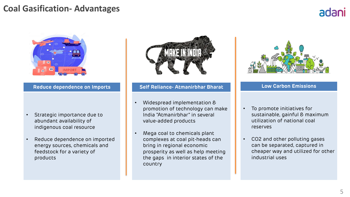## **Coal Gasification- Advantages**

# adani



- Strategic importance due to abundant availability of indigenous coal resource
- Reduce dependence on imported energy sources, chemicals and feedstock for a variety of products



#### **Reduce dependence on Imports Self Reliance- Atmanirbhar Bharat Low Carbon Emissions**

- Widespread implementation & promotion of technology can make India "Atmanirbhar" in several value-added products
- Mega coal to chemicals plant complexes at coal pit-heads can bring in regional economic prosperity as well as help meeting the gaps in interior states of the country



- To promote initiatives for sustainable, gainful & maximum utilization of national coal reserves
- CO2 and other polluting gases can be separated, captured in cheaper way and utilized for other industrial uses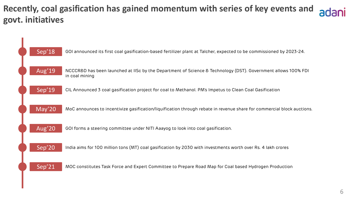**Recently, coal gasification has gained momentum with series of key events and govt. initiatives**

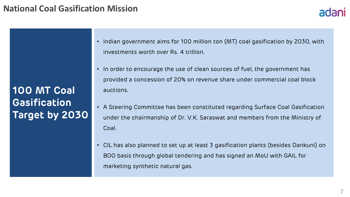## **National Coal Gasification Mission**

**100 MT Coal Gasification Target by 2030**

- Indian government aims for 100 million ton (MT) coal gasification by 2030, with investments worth over Rs. 4 trillion.
- In order to encourage the use of clean sources of fuel, the government has provided a concession of 20% on revenue share under commercial coal block auctions.
- A Steering Committee has been constituted regarding Surface Coal Gasification under the chairmanship of Dr. V.K. Saraswat and members from the Ministry of Coal.
- CIL has also planned to set up at least 3 gasification plants (besides Dankuni) on BOO basis through global tendering and has signed an MoU with GAIL for marketing synthetic natural gas.

adani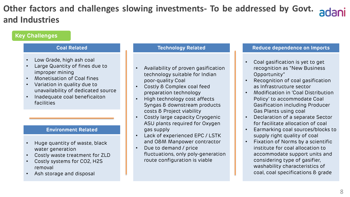## **Other factors and challenges slowing investments- To be addressed by Govt. and Industries**

### **Key Challenges**

#### **Coal Related**

- Low Grade, high ash coal
- Large Quantity of fines due to improper mining
- Monetisation of Coal fines
- Variation in quality due to unavailability of dedicated source
- Inadequate coal beneficaiton facilities

#### **Environment Related**

- Huge quantity of waste, black water generation
- Costly waste treatment for ZLD
- Costly systems for CO2, H2S removal
- Ash storage and disposal

#### **Technology Related**

- Availability of proven gasification technology suitable for Indian poor-quality Coal
- Costly & Complex coal feed preparation technology
- High technology cost affects Syngas & downstream products costs & Project viability
- Costly large capacity Cryogenic ASU plants required for Oxygen gas supply
- Lack of experienced EPC / LSTK and O&M Manpower contractor
- Due to demand / price fluctuations, only poly-generation route configuration is viable

#### **Reduce dependence on Imports**

- Coal gasification is yet to get recognition as "New Business Opportunity"
- Recognition of coal gasification as Infrastructure sector
- Modification in 'Coal Distribution Policy' to accommodate Coal Gasification including Producer Gas Plants using coal
- Declaration of a separate Sector for facilitate allocation of coal
- Earmarking coal sources/blocks to supply right quality of coal
- Fixation of Norms by a scientific institute for coal allocation to accommodate support units and considering type of gasifier, washability characteristics of coal, coal specifications & grade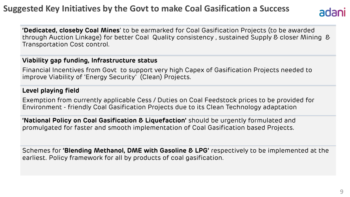## **Suggested Key Initiatives by the Govt to make Coal Gasification a Success**



**'Dedicated, closeby Coal Mines**' to be earmarked for Coal Gasification Projects (to be awarded through Auction Linkage) for better Coal Quality consistency , sustained Supply & closer Mining & Transportation Cost control.

## **Viability gap funding, Infrastructure status**

Financial Incentives from Govt to support very high Capex of Gasification Projects needed to improve Viability of 'Energy Security' (Clean) Projects.

## **Level playing field**

Exemption from currently applicable Cess / Duties on Coal Feedstock prices to be provided for Environment - friendly Coal Gasification Projects due to its Clean Technology adaptation

**'National Policy on Coal Gasification & Liquefaction'** should be urgently formulated and promulgated for faster and smooth implementation of Coal Gasification based Projects.

Schemes for **'Blending Methanol, DME with Gasoline & LPG'** respectively to be implemented at the earliest. Policy framework for all by products of coal gasification.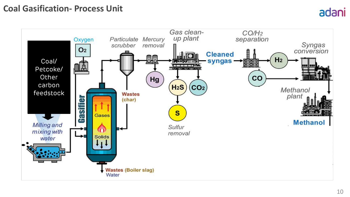## **Coal Gasification- Process Unit**

#### Gas clean- $CO/H<sub>2</sub>$ up plant separation Particulate Mercury Oxygen Syngas scrubber removal  $O<sub>2</sub>$ conversion **Cleaned** Ini 86  $H<sub>2</sub>$ Coal/ syngas **AMYZES**  $\frac{\frac{1}{2}}{\frac{1}{2}}$ lâ Petcoke/ **Other**  $CO$ Hg carbon  $H<sub>2</sub>S$  $CO<sub>2</sub>$ Methanol feedstock**Wastes** plant (char) Gasti  $\mathbf{s}$ **Gases Methanol Milling and** Sulfur  $\bigcirc$ mixing with removal **Solids** water **Wastes (Boiler slag)** Water

adani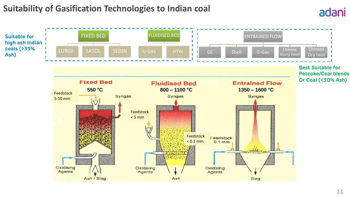## **Suitability of Gasification Technologies to Indian coal**



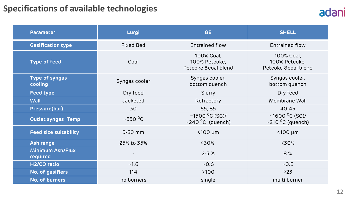## **Specifications of available technologies**

| <b>Parameter</b>                    | Lurgi                    | <b>GE</b>                                                      | <b>SHELL</b>                                                   |
|-------------------------------------|--------------------------|----------------------------------------------------------------|----------------------------------------------------------------|
| <b>Gasification type</b>            | <b>Fixed Bed</b>         | <b>Entrained flow</b>                                          | <b>Entrained flow</b>                                          |
| <b>Type of feed</b>                 | Coal                     | 100% Coal,<br>100% Petcoke,<br>Petcoke & coal blend            | 100% Coal,<br>100% Petcoke,<br>Petcoke & coal blend            |
| Type of syngas<br>cooling           | Syngas cooler            | Syngas cooler,<br>bottom quench                                | Syngas cooler,<br>bottom quench                                |
| <b>Feed type</b>                    | Dry feed                 | Slurry                                                         | Dry feed                                                       |
| Wall                                | Jacketed                 | Refractory                                                     | Membrane Wall                                                  |
| Pressure(bar)                       | 30                       | 65,85                                                          | $40 - 45$                                                      |
| <b>Outlet syngas Temp</b>           | $~550~^{\circ}$ C        | ~1500 $^{\circ}$ C (SG)/<br>$\sim$ 240 $\mathrm{^0C}$ (quench) | ~1600 $^{\circ}$ C (SG)/<br>$\sim$ 210 <sup>o</sup> C (quench) |
| <b>Feed size suitability</b>        | 5-50 mm                  | $<$ 100 µm                                                     | $<$ 100 µm                                                     |
| Ash range                           | 25% to 35%               | <30%                                                           | <30%                                                           |
| <b>Minimum Ash/Flux</b><br>required | $\overline{\phantom{a}}$ | $2 - 3 %$                                                      | 8%                                                             |
| H2/CO ratio                         | $-1.6$                   | $-0.6$                                                         | $-0.5$                                                         |
| No. of gasifiers                    | 114                      | >100                                                           | $>23$                                                          |
| No. of burners                      | no burners               | single                                                         | multi burner                                                   |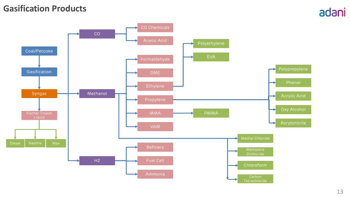## **Gasification Products**

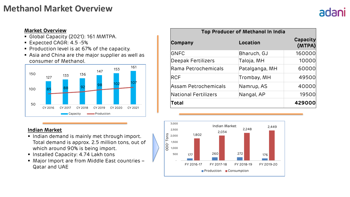## **Methanol Market Overview**

# adani

#### **Market Overview**

- Global Capacity (2021): 161 MMTPA.
- Expected CAGR: 4.5 -5%
- Production level is at 67% of the capacity.
- Asia and China are the major supplier as well as consumer of Methanol.



#### **Indian Market**

- **.** Indian demand is mainly met through import. Total demand is approx. 2.5 million tons, out of which around 90% is being import.
- **.** Installed Capacity: 4.74 Lakh tons
- Major Import are from Middle East countries -Qatar and UAE

| Top Producer of Methanol In India |                |                           |  |  |
|-----------------------------------|----------------|---------------------------|--|--|
| Company                           | Location       | <b>Capacity</b><br>(MTPA) |  |  |
| <b>GNFC</b>                       | Bharuch, GJ    | 160000                    |  |  |
| Deepak Fertilizers                | Taloja, MH     | 10000                     |  |  |
| Rama Petrochemicals               | Patalganga, MH | 60000                     |  |  |
| <b>RCF</b>                        | Trombay, MH    | 49500                     |  |  |
| Assam Petrochemicals              | Namrup, AS     | 40000                     |  |  |
| National Fertilizers              | Nangal, AP     | 19500                     |  |  |
| Total                             |                | 429000                    |  |  |

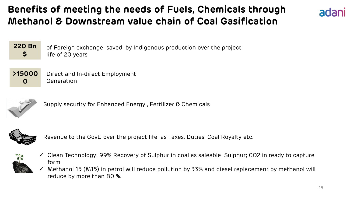## **Benefits of meeting the needs of Fuels, Chemicals through Methanol & Downstream value chain of Coal Gasification**



of Foreign exchange saved by Indigenous production over the project life of 20 years **220 Bn \$**

#### **>15000 0** Direct and In-direct Employment Generation



Supply security for Enhanced Energy , Fertilizer & Chemicals



Revenue to the Govt. over the project life as Taxes, Duties, Coal Royalty etc.



- ✓ Clean Technology: 99% Recovery of Sulphur in coal as saleable Sulphur; CO2 in ready to capture form
- $\checkmark$  Methanol 15 (M15) in petrol will reduce pollution by 33% and diesel replacement by methanol will reduce by more than 80 %.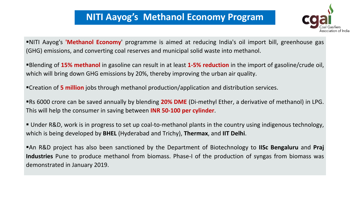## **NITI Aayog's Methanol Economy Program**



▪NITI Aayog's **'Methanol Economy**' programme is aimed at reducing India's oil import bill, greenhouse gas (GHG) emissions, and converting coal reserves and municipal solid waste into methanol.

▪Blending of **15% methanol** in gasoline can result in at least **1-5% reduction** in the import of gasoline/crude oil, which will bring down GHG emissions by 20%, thereby improving the urban air quality.

▪Creation of **5 million** jobs through methanol production/application and distribution services.

▪Rs 6000 crore can be saved annually by blending **20% DME** (Di-methyl Ether, a derivative of methanol) in LPG. This will help the consumer in saving between **INR 50-100 per cylinder**.

▪ Under R&D, work is in progress to set up coal-to-methanol plants in the country using indigenous technology, which is being developed by **BHEL** (Hyderabad and Trichy), **Thermax**, and **IIT Delhi**.

▪An R&D project has also been sanctioned by the Department of Biotechnology to **IISc Bengaluru** and **Praj Industries** Pune to produce methanol from biomass. Phase-I of the production of syngas from biomass was demonstrated in January 2019.